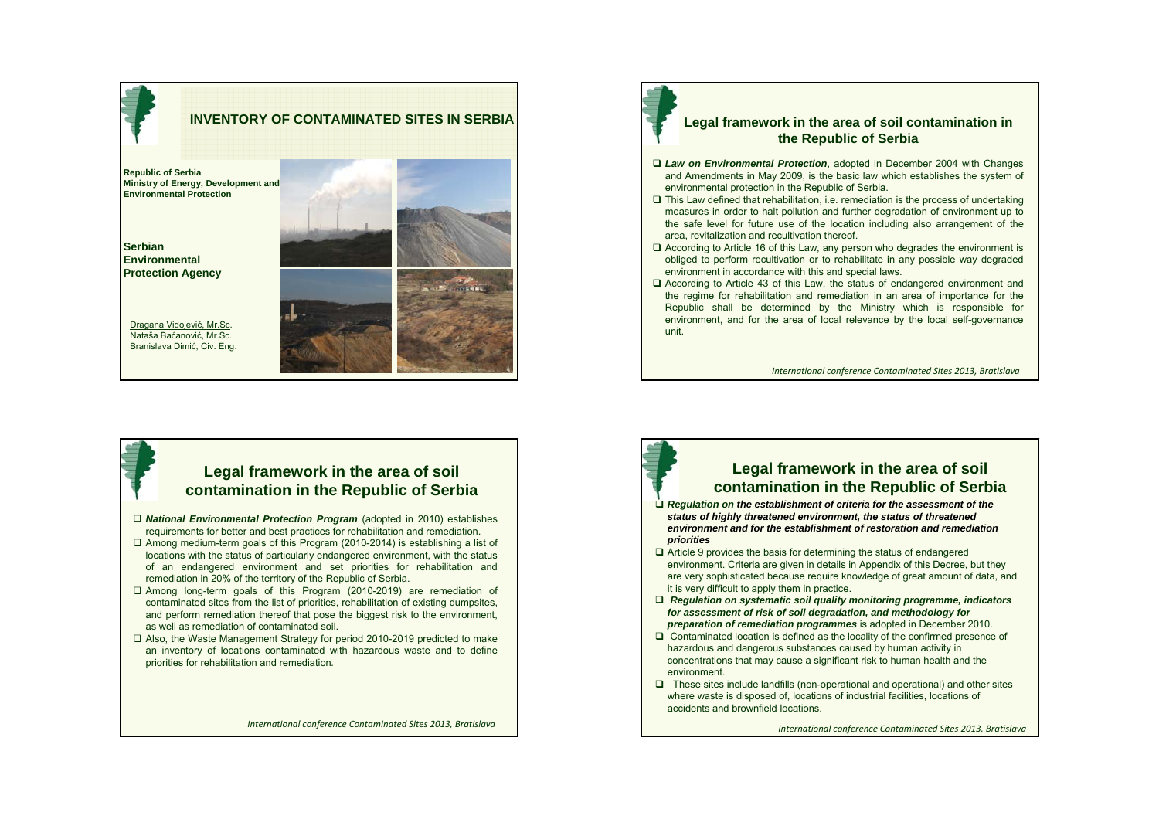

### **Legal framework in the area of soil contamination in the Republic of Serbia**

- *Law on Environmental Protection*, adopted in December 2004 with Changes and Amendments in May 2009, is the basic law which establishes the system of environmental protection in the Republic of Serbia.
- $\square$  This Law defined that rehabilitation, i.e. remediation is the process of undertaking measures in order to halt pollution and further degradation of environment up to the safe level for future use of the location including also arrangement of the area, revitalization and recultivation thereof.
- According to Article 16 of this Law, any person who degrades the environment is obliged to perform recultivation or to rehabilitate in any possible way degraded environment in accordance with this and special laws.
- According to Article 43 of this Law, the status of endangered environment and the regime for rehabilitation and remediation in an area of importance for the Republic shall be determined by the Ministry which is responsible for environment, and for the area of local relevance by the local self-governance unit.

*International conference Contaminated Sites 2013, Bratislava*

## **Legal framework in the area of soil contamination in the Republic of Serbia**

- *National Environmental Protection Program* (adopted in 2010) establishes requirements for better and best practices for rehabilitation and remediation.
- Among medium-term goals of this Program (2010-2014) is establishing a list of locations with the status of particularly endangered environment, with the status of an endangered environment and set priorities for rehabilitation and remediation in 20% of the territory of the Republic of Serbia.
- Among long-term goals of this Program (2010-2019) are remediation of contaminated sites from the list of priorities, rehabilitation of existing dumpsites, and perform remediation thereof that pose the biggest risk to the environment, as well as remediation of contaminated soil.
- Also, the Waste Management Strategy for period 2010-2019 predicted to make an inventory of locations contaminated with hazardous waste and to define priorities for rehabilitation and remediation*.*

*International conference Contaminated Sites 2013, Bratislava*

# **Legal framework in the area of soil contamination in the Republic of Serbia**

- *Regulation on the establishment of criteria for the assessment of the status of highly threatened environment, the status of threatened environment and for the establishment of restoration and remediation priorities*
- $\Box$  Article 9 provides the basis for determining the status of endangered environment. Criteria are given in details in Appendix of this Decree, but they are very sophisticated because require knowledge of great amount of data, and it is very difficult to apply them in practice.
- *Regulation on systematic soil quality monitoring programme, indicators for assessment of risk of soil degradation, and methodology for preparation of remediation programmes* is adopted in December 2010.
- □ Contaminated location is defined as the locality of the confirmed presence of hazardous and dangerous substances caused by human activity in concentrations that may cause a significant risk to human health and the environment.
- $\Box$  These sites include landfills (non-operational and operational) and other sites where waste is disposed of, locations of industrial facilities, locations of accidents and brownfield locations.

*International conference Contaminated Sites 2013, Bratislava*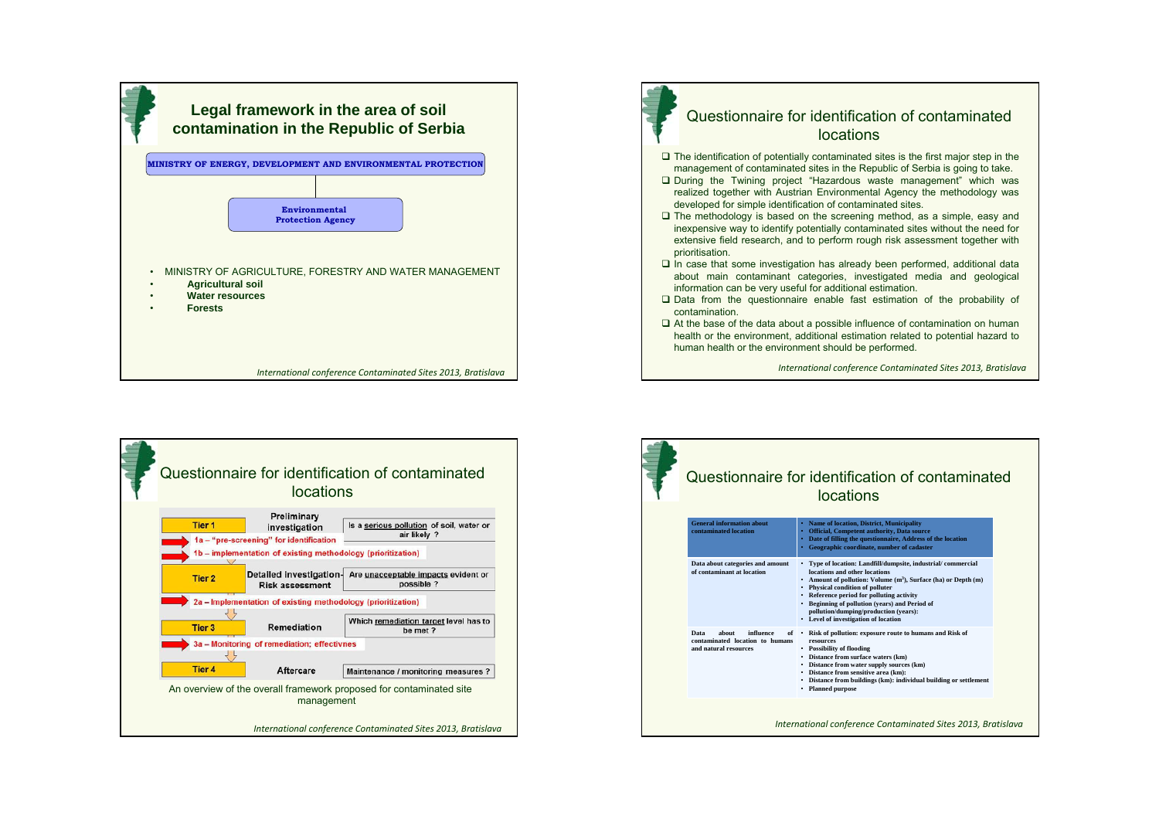



## Questionnaire for identification of contaminated locations

- $\Box$  The identification of potentially contaminated sites is the first major step in the management of contaminated sites in the Republic of Serbia is going to take.
- During the Twining project "Hazardous waste management" which was realized together with Austrian Environmental Agency the methodology was developed for simple identification of contaminated sites.
- $\Box$  The methodology is based on the screening method, as a simple, easy and inexpensive way to identify potentially contaminated sites without the need for extensive field research, and to perform rough risk assessment together with prioritisation.
- $\Box$  In case that some investigation has already been performed, additional data about main contaminant categories, investigated media and geological information can be very useful for additional estimation.
- $\square$  Data from the questionnaire enable fast estimation of the probability of contamination.
- $\Box$  At the base of the data about a possible influence of contamination on human health or the environment, additional estimation related to potential hazard to human health or the environment should be performed.

*International conference Contaminated Sites 2013, Bratislava*



| Questionnaire for identification of contaminated<br>locations                          |                                                                                                                                                                                                                                                                                                                                                                                                 |
|----------------------------------------------------------------------------------------|-------------------------------------------------------------------------------------------------------------------------------------------------------------------------------------------------------------------------------------------------------------------------------------------------------------------------------------------------------------------------------------------------|
| <b>General information about</b><br>contaminated location                              | • Name of location, District, Municipality<br>• Official. Competent authority. Data source<br>Date of filling the questionnaire, Address of the location<br>Geographic coordinate, number of cadaster<br>$\bullet$                                                                                                                                                                              |
| Data about categories and amount<br>of contaminant at location                         | • Type of location: Landfill/dumpsite, industrial/commercial<br>locations and other locations<br>• Amount of pollution: Volume (m <sup>3</sup> ), Surface (ha) or Depth (m)<br>• Physical condition of polluter<br>• Reference period for polluting activity<br>• Beginning of pollution (years) and Period of<br>pollution/dumping/production (vears):<br>• Level of investigation of location |
| influence<br>Data<br>about<br>contaminated location to humans<br>and natural resources | of . Risk of pollution: exposure route to humans and Risk of<br>resources<br>• Possibility of flooding<br>• Distance from surface waters (km)<br>• Distance from water supply sources (km)<br>• Distance from sensitive area (km):<br>• Distance from buildings (km): individual building or settlement<br>• Planned purpose                                                                    |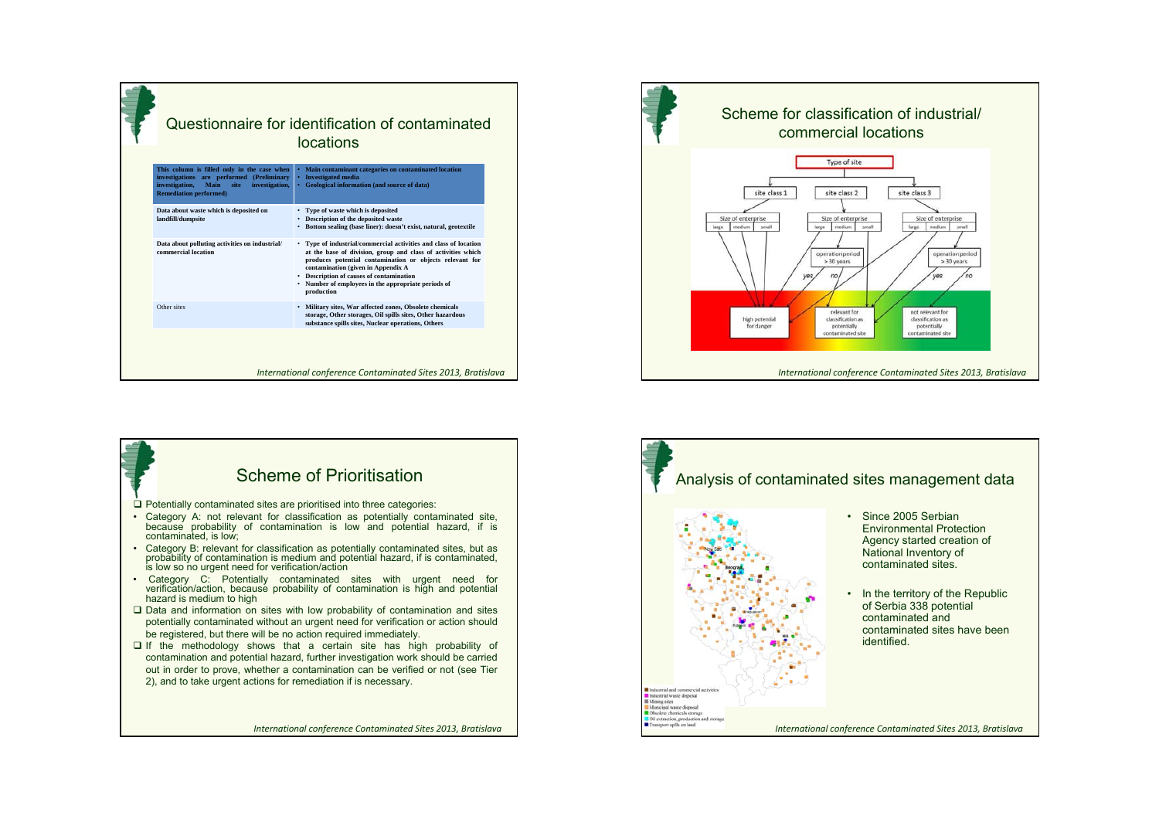|                                                                                                                                                                               | Questionnaire for identification of contaminated<br>locations                                                                                                                                                                                                                                                                                       |
|-------------------------------------------------------------------------------------------------------------------------------------------------------------------------------|-----------------------------------------------------------------------------------------------------------------------------------------------------------------------------------------------------------------------------------------------------------------------------------------------------------------------------------------------------|
| This column is filled only in the case when<br>investigations are performed (Preliminary<br>investigation,<br>Main<br>site<br>investigation,<br><b>Remediation performed)</b> | Main contaminant categories on contaminated location<br>٠<br><b>Investigated</b> media<br>Geological information (and source of data)                                                                                                                                                                                                               |
| Data about waste which is deposited on<br>landfill/dumpsite                                                                                                                   | • Type of waste which is deposited<br>• Description of the deposited waste<br>• Bottom sealing (base liner): doesn't exist, natural, geotextile                                                                                                                                                                                                     |
| Data about polluting activities on industrial/<br>commercial location                                                                                                         | • Type of industrial/commercial activities and class of location<br>at the base of division, group and class of activities which<br>produces potential contamination or objects relevant for<br>contamination (given in Appendix A<br>• Description of causes of contamination<br>• Number of employees in the appropriate periods of<br>production |
| Other sites                                                                                                                                                                   | · Military sites, War affected zones, Obsolete chemicals<br>storage, Other storages, Oil spills sites, Other hazardous<br>substance spills sites, Nuclear operations, Others                                                                                                                                                                        |
|                                                                                                                                                                               | International conference Contaminated Sites 2013, Bratislava                                                                                                                                                                                                                                                                                        |





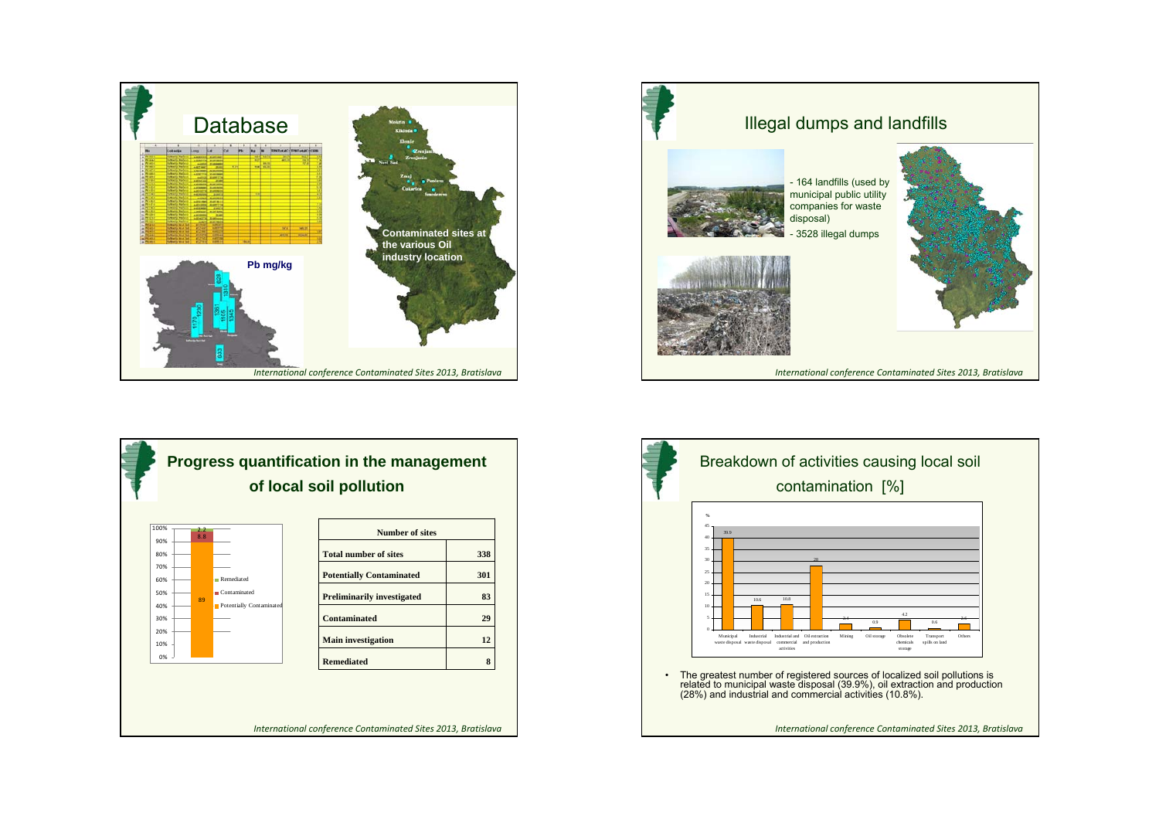





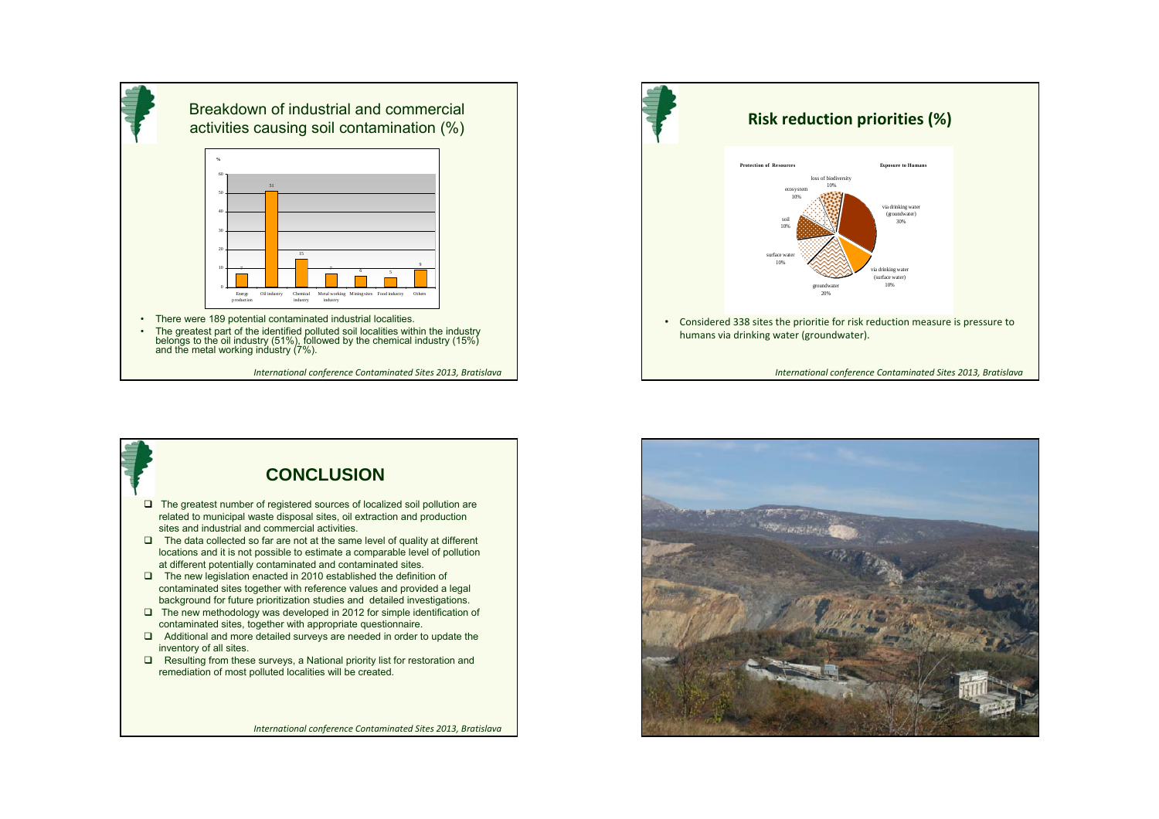

*International conference Contaminated Sites 2013, Bratislava*